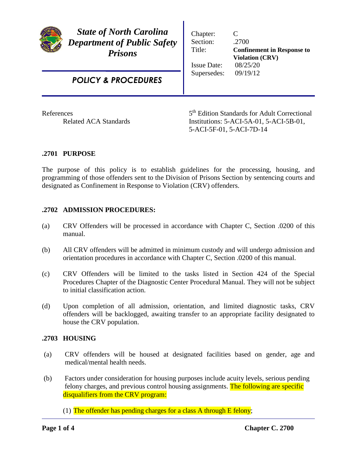| <b>State of North Carolina</b><br><b>Department of Public Safety</b><br><b>Prisons</b> | Chapter:<br>Section:<br>Title:<br><b>Issue Date:</b><br>Supersedes: | C<br>.2700<br><b>Confinement in Response to</b><br><b>Violation (CRV)</b><br>08/25/20<br>09/19/12 |
|----------------------------------------------------------------------------------------|---------------------------------------------------------------------|---------------------------------------------------------------------------------------------------|
| <b>POLICY &amp; PROCEDURES</b>                                                         |                                                                     |                                                                                                   |
| References<br>$\sim$ $\sim$ $\sim$ $\sim$                                              |                                                                     | 5 <sup>th</sup> Edition Standards for Adult Correctional                                          |

Related ACA Standards Institutions: 5-ACI-5A-01, 5-ACI-5B-01, 5-ACI-5F-01, 5-ACI-7D-14

## **.2701 PURPOSE**

The purpose of this policy is to establish guidelines for the processing, housing, and programming of those offenders sent to the Division of Prisons Section by sentencing courts and designated as Confinement in Response to Violation (CRV) offenders.

# **.2702 ADMISSION PROCEDURES:**

- (a) CRV Offenders will be processed in accordance with Chapter C, Section .0200 of this manual.
- (b) All CRV offenders will be admitted in minimum custody and will undergo admission and orientation procedures in accordance with Chapter C, Section .0200 of this manual.
- (c) CRV Offenders will be limited to the tasks listed in Section 424 of the Special Procedures Chapter of the Diagnostic Center Procedural Manual. They will not be subject to initial classification action.
- (d) Upon completion of all admission, orientation, and limited diagnostic tasks, CRV offenders will be backlogged, awaiting transfer to an appropriate facility designated to house the CRV population.

### **.2703 HOUSING**

- (a) CRV offenders will be housed at designated facilities based on gender, age and medical/mental health needs.
- (b) Factors under consideration for housing purposes include acuity levels, serious pending felony charges, and previous control housing assignments. The following are specific disqualifiers from the CRV program:
	- (1) The offender has pending charges for a class A through E felony;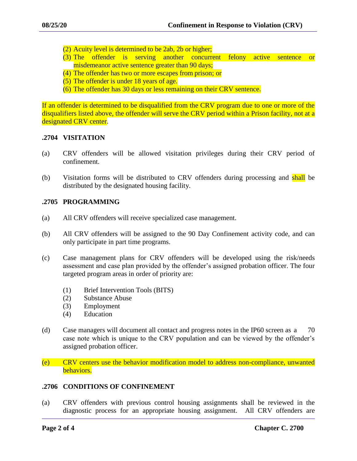- (2) Acuity level is determined to be 2ab, 2b or higher;
- (3) The offender is serving another concurrent felony active sentence or misdemeanor active sentence greater than 90 days;
- (4) The offender has two or more escapes from prison; or
- (5) The offender is under 18 years of age.
- (6) The offender has 30 days or less remaining on their CRV sentence.

If an offender is determined to be disqualified from the CRV program due to one or more of the disqualifiers listed above, the offender will serve the CRV period within a Prison facility, not at a designated CRV center.

### **.2704 VISITATION**

- (a) CRV offenders will be allowed visitation privileges during their CRV period of confinement.
- (b) Visitation forms will be distributed to CRV offenders during processing and shall be distributed by the designated housing facility.

### **.2705 PROGRAMMING**

- (a) All CRV offenders will receive specialized case management.
- (b) All CRV offenders will be assigned to the 90 Day Confinement activity code, and can only participate in part time programs.
- (c) Case management plans for CRV offenders will be developed using the risk/needs assessment and case plan provided by the offender's assigned probation officer. The four targeted program areas in order of priority are:
	- (1) Brief Intervention Tools (BITS)
	- (2) Substance Abuse
	- (3) Employment
	- (4) Education
- (d) Case managers will document all contact and progress notes in the IP60 screen as a 70 case note which is unique to the CRV population and can be viewed by the offender's assigned probation officer.
- $(e)$  CRV centers use the behavior modification model to address non-compliance, unwanted behaviors.

#### **.2706 CONDITIONS OF CONFINEMENT**

(a) CRV offenders with previous control housing assignments shall be reviewed in the diagnostic process for an appropriate housing assignment. All CRV offenders are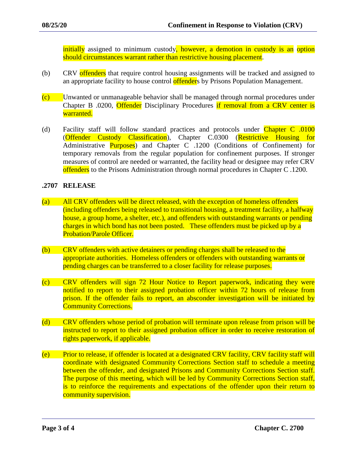initially assigned to minimum custody, however, a demotion in custody is an option should circumstances warrant rather than restrictive housing placement.

- (b) CRV offenders that require control housing assignments will be tracked and assigned to an appropriate facility to house control offenders by Prisons Population Management.
- (c) Unwanted or unmanageable behavior shall be managed through normal procedures under Chapter B .0200, Offender Disciplinary Procedures if removal from a CRV center is warranted.
- (d) Facility staff will follow standard practices and protocols under Chapter C .0100 (Offender Custody Classification), Chapter C.0300 (Restrictive Housing for Administrative **Purposes**) and Chapter C .1200 (Conditions of Confinement) for temporary removals from the regular population for confinement purposes. If stronger measures of control are needed or warranted, the facility head or designee may refer CRV offenders to the Prisons Administration through normal procedures in Chapter C.1200.

## **.2707 RELEASE**

- (a) All CRV offenders will be direct released, with the exception of homeless offenders (including offenders being released to transitional housing, a treatment facility, a halfway house, a group home, a shelter, etc.), and offenders with outstanding warrants or pending charges in which bond has not been posted. These offenders must be picked up by a Probation/Parole Officer.
- (b) CRV offenders with active detainers or pending charges shall be released to the appropriate authorities. Homeless offenders or offenders with outstanding warrants or pending charges can be transferred to a closer facility for release purposes.
- (c) CRV offenders will sign 72 Hour Notice to Report paperwork, indicating they were notified to report to their assigned probation officer within 72 hours of release from prison. If the offender fails to report, an absconder investigation will be initiated by Community Corrections.
- (d) CRV offenders whose period of probation will terminate upon release from prison will be instructed to report to their assigned probation officer in order to receive restoration of rights paperwork, if applicable.
- (e) Prior to release, if offender is located at a designated CRV facility, CRV facility staff will coordinate with designated Community Corrections Section staff to schedule a meeting between the offender, and designated Prisons and Community Corrections Section staff. The purpose of this meeting, which will be led by Community Corrections Section staff, is to reinforce the requirements and expectations of the offender upon their return to community supervision.